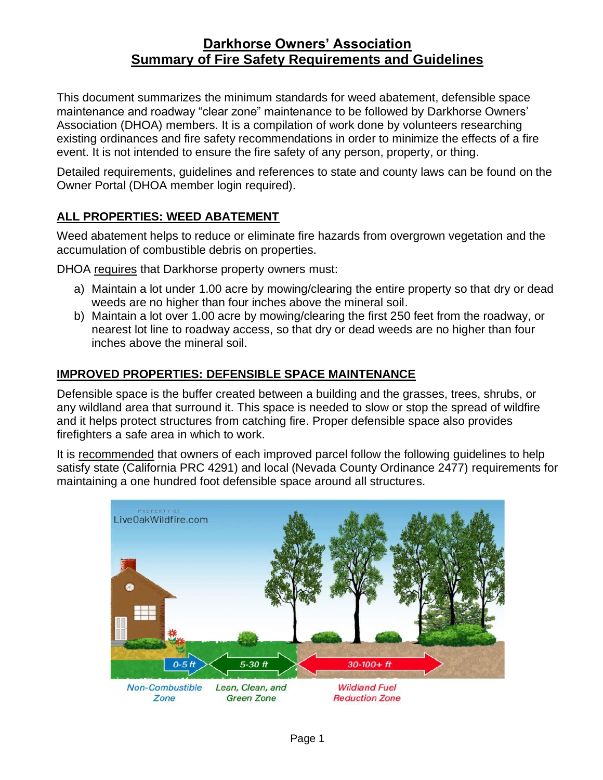# **Darkhorse Owners' Association Summary of Fire Safety Requirements and Guidelines**

This document summarizes the minimum standards for weed abatement, defensible space maintenance and roadway "clear zone" maintenance to be followed by Darkhorse Owners' Association (DHOA) members. It is a compilation of work done by volunteers researching existing ordinances and fire safety recommendations in order to minimize the effects of a fire event. It is not intended to ensure the fire safety of any person, property, or thing.

Detailed requirements, guidelines and references to state and county laws can be found on the Owner Portal (DHOA member login required).

## **ALL PROPERTIES: WEED ABATEMENT**

Weed abatement helps to reduce or eliminate fire hazards from overgrown vegetation and the accumulation of combustible debris on properties.

DHOA requires that Darkhorse property owners must:

- a) Maintain a lot under 1.00 acre by mowing/clearing the entire property so that dry or dead weeds are no higher than four inches above the mineral soil.
- b) Maintain a lot over 1.00 acre by mowing/clearing the first 250 feet from the roadway, or nearest lot line to roadway access, so that dry or dead weeds are no higher than four inches above the mineral soil.

## **IMPROVED PROPERTIES: DEFENSIBLE SPACE MAINTENANCE**

Defensible space is the buffer created between a building and the grasses, trees, shrubs, or any wildland area that surround it. This space is needed to slow or stop the spread of wildfire and it helps protect structures from catching fire. Proper defensible space also provides firefighters a safe area in which to work.

It is recommended that owners of each improved parcel follow the following guidelines to help satisfy state (California PRC 4291) and local (Nevada County Ordinance 2477) requirements for maintaining a one hundred foot defensible space around all structures.



**Non-Combustible** Lean, Clean, and Zone **Green Zone** 

**Wildland Fuel Reduction Zone**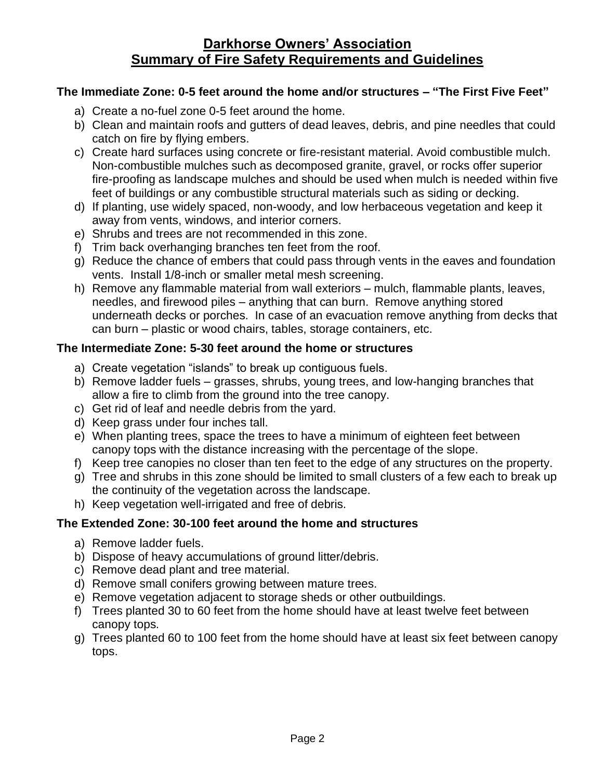#### **The Immediate Zone: 0-5 feet around the home and/or structures – "The First Five Feet"**

- a) Create a no-fuel zone 0-5 feet around the home.
- b) Clean and maintain roofs and gutters of dead leaves, debris, and pine needles that could catch on fire by flying embers.
- c) Create hard surfaces using concrete or fire-resistant material. Avoid combustible mulch. Non-combustible mulches such as decomposed granite, gravel, or rocks offer superior fire-proofing as landscape mulches and should be used when mulch is needed within five feet of buildings or any combustible structural materials such as siding or decking.
- d) If planting, use widely spaced, non-woody, and low herbaceous vegetation and keep it away from vents, windows, and interior corners.
- e) Shrubs and trees are not recommended in this zone.
- f) Trim back overhanging branches ten feet from the roof.
- g) Reduce the chance of embers that could pass through vents in the eaves and foundation vents. Install 1/8-inch or smaller metal mesh screening.
- h) Remove any flammable material from wall exteriors mulch, flammable plants, leaves, needles, and firewood piles – anything that can burn. Remove anything stored underneath decks or porches. In case of an evacuation remove anything from decks that can burn – plastic or wood chairs, tables, storage containers, etc.

#### **The Intermediate Zone: 5-30 feet around the home or structures**

- a) Create vegetation "islands" to break up contiguous fuels.
- b) Remove ladder fuels grasses, shrubs, young trees, and low-hanging branches that allow a fire to climb from the ground into the tree canopy.
- c) Get rid of leaf and needle debris from the yard.
- d) Keep grass under four inches tall.
- e) When planting trees, space the trees to have a minimum of eighteen feet between canopy tops with the distance increasing with the percentage of the slope.
- f) Keep tree canopies no closer than ten feet to the edge of any structures on the property.
- g) Tree and shrubs in this zone should be limited to small clusters of a few each to break up the continuity of the vegetation across the landscape.
- h) Keep vegetation well-irrigated and free of debris.

#### **The Extended Zone: 30-100 feet around the home and structures**

- a) Remove ladder fuels.
- b) Dispose of heavy accumulations of ground litter/debris.
- c) Remove dead plant and tree material.
- d) Remove small conifers growing between mature trees.
- e) Remove vegetation adjacent to storage sheds or other outbuildings.
- f) Trees planted 30 to 60 feet from the home should have at least twelve feet between canopy tops.
- g) Trees planted 60 to 100 feet from the home should have at least six feet between canopy tops.